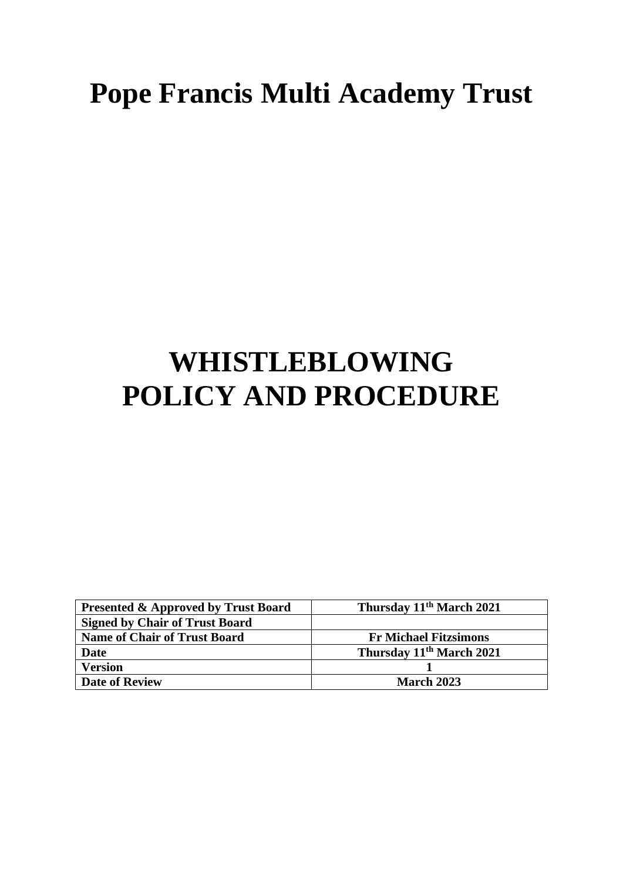# **Pope Francis Multi Academy Trust**

## **WHISTLEBLOWING POLICY AND PROCEDURE**

| <b>Presented &amp; Approved by Trust Board</b> | Thursday 11 <sup>th</sup> March 2021 |
|------------------------------------------------|--------------------------------------|
| <b>Signed by Chair of Trust Board</b>          |                                      |
| <b>Name of Chair of Trust Board</b>            | <b>Fr Michael Fitzsimons</b>         |
| Date                                           | Thursday 11 <sup>th</sup> March 2021 |
| <b>Version</b>                                 |                                      |
| <b>Date of Review</b>                          | <b>March 2023</b>                    |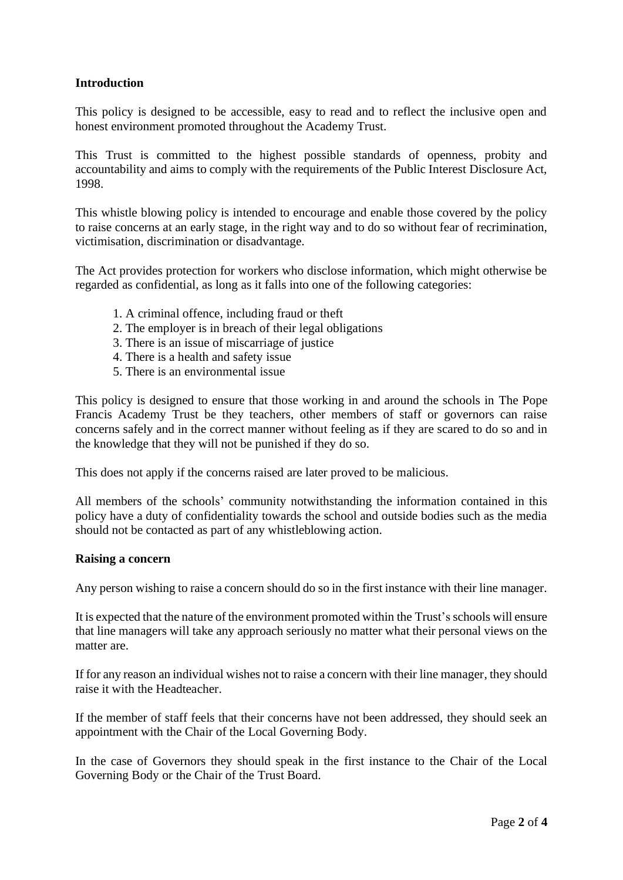## **Introduction**

This policy is designed to be accessible, easy to read and to reflect the inclusive open and honest environment promoted throughout the Academy Trust.

This Trust is committed to the highest possible standards of openness, probity and accountability and aims to comply with the requirements of the Public Interest Disclosure Act, 1998.

This whistle blowing policy is intended to encourage and enable those covered by the policy to raise concerns at an early stage, in the right way and to do so without fear of recrimination, victimisation, discrimination or disadvantage.

The Act provides protection for workers who disclose information, which might otherwise be regarded as confidential, as long as it falls into one of the following categories:

- 1. A criminal offence, including fraud or theft
- 2. The employer is in breach of their legal obligations
- 3. There is an issue of miscarriage of justice
- 4. There is a health and safety issue
- 5. There is an environmental issue

This policy is designed to ensure that those working in and around the schools in The Pope Francis Academy Trust be they teachers, other members of staff or governors can raise concerns safely and in the correct manner without feeling as if they are scared to do so and in the knowledge that they will not be punished if they do so.

This does not apply if the concerns raised are later proved to be malicious.

All members of the schools' community notwithstanding the information contained in this policy have a duty of confidentiality towards the school and outside bodies such as the media should not be contacted as part of any whistleblowing action.

#### **Raising a concern**

Any person wishing to raise a concern should do so in the first instance with their line manager.

It is expected that the nature of the environment promoted within the Trust's schools will ensure that line managers will take any approach seriously no matter what their personal views on the matter are.

If for any reason an individual wishes not to raise a concern with their line manager, they should raise it with the Headteacher.

If the member of staff feels that their concerns have not been addressed, they should seek an appointment with the Chair of the Local Governing Body.

In the case of Governors they should speak in the first instance to the Chair of the Local Governing Body or the Chair of the Trust Board.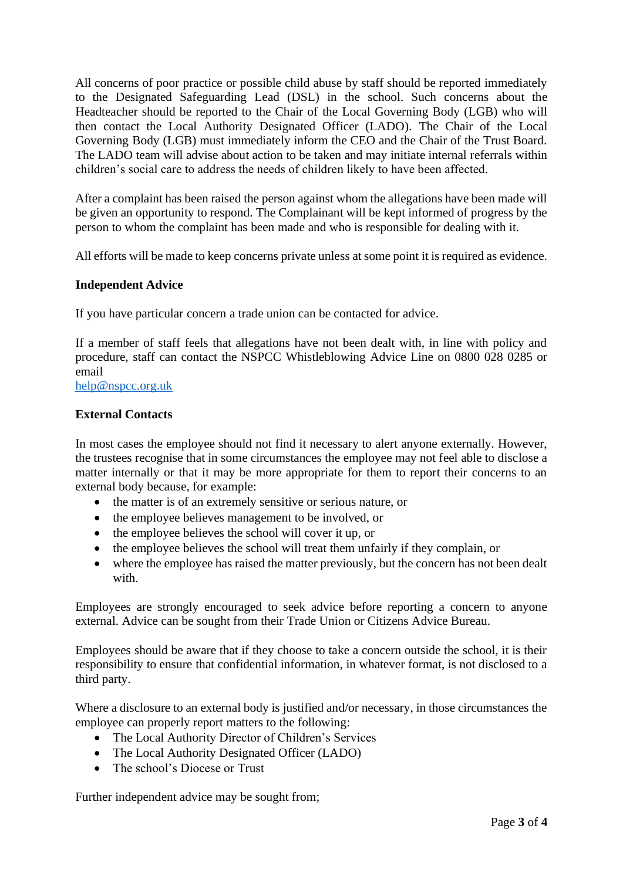All concerns of poor practice or possible child abuse by staff should be reported immediately to the Designated Safeguarding Lead (DSL) in the school. Such concerns about the Headteacher should be reported to the Chair of the Local Governing Body (LGB) who will then contact the Local Authority Designated Officer (LADO). The Chair of the Local Governing Body (LGB) must immediately inform the CEO and the Chair of the Trust Board. The LADO team will advise about action to be taken and may initiate internal referrals within children's social care to address the needs of children likely to have been affected.

After a complaint has been raised the person against whom the allegations have been made will be given an opportunity to respond. The Complainant will be kept informed of progress by the person to whom the complaint has been made and who is responsible for dealing with it.

All efforts will be made to keep concerns private unless at some point it is required as evidence.

### **Independent Advice**

If you have particular concern a trade union can be contacted for advice.

If a member of staff feels that allegations have not been dealt with, in line with policy and procedure, staff can contact the NSPCC Whistleblowing Advice Line on 0800 028 0285 or email

[help@nspcc.org.uk](mailto:help@nspcc.org.uk)

#### **External Contacts**

In most cases the employee should not find it necessary to alert anyone externally. However, the trustees recognise that in some circumstances the employee may not feel able to disclose a matter internally or that it may be more appropriate for them to report their concerns to an external body because, for example:

- the matter is of an extremely sensitive or serious nature, or
- the employee believes management to be involved, or
- the employee believes the school will cover it up, or
- the employee believes the school will treat them unfairly if they complain, or
- where the employee has raised the matter previously, but the concern has not been dealt with.

Employees are strongly encouraged to seek advice before reporting a concern to anyone external. Advice can be sought from their Trade Union or Citizens Advice Bureau.

Employees should be aware that if they choose to take a concern outside the school, it is their responsibility to ensure that confidential information, in whatever format, is not disclosed to a third party.

Where a disclosure to an external body is justified and/or necessary, in those circumstances the employee can properly report matters to the following:

- The Local Authority Director of Children's Services
- The Local Authority Designated Officer (LADO)
- The school's Diocese or Trust

Further independent advice may be sought from;